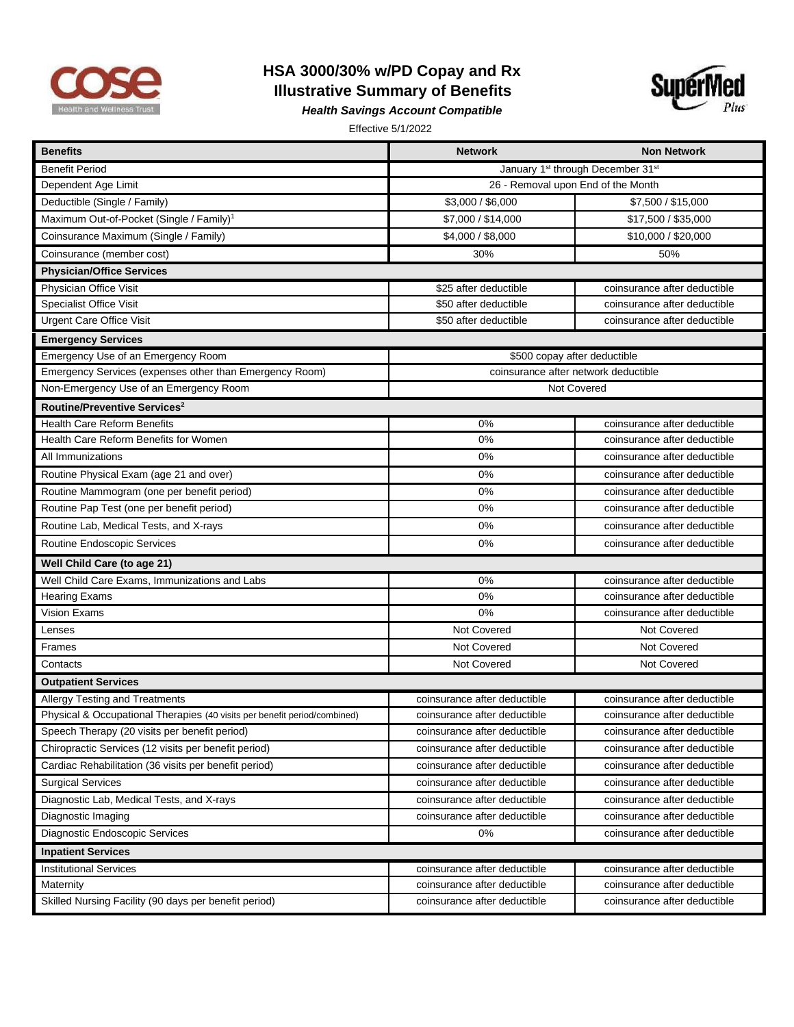

## **HSA 3000/30% w/PD Copay and Rx Illustrative Summary of Benefits**



*Health Savings Account Compatible* 

Effective 5/1/2022

| <b>Benefits</b>                                                           | <b>Network</b>                       | <b>Non Network</b>                |  |
|---------------------------------------------------------------------------|--------------------------------------|-----------------------------------|--|
| <b>Benefit Period</b>                                                     |                                      | January 1st through December 31st |  |
| Dependent Age Limit                                                       | 26 - Removal upon End of the Month   |                                   |  |
| Deductible (Single / Family)                                              | \$3,000 / \$6,000                    | \$7,500 / \$15,000                |  |
| Maximum Out-of-Pocket (Single / Family) <sup>1</sup>                      | \$7,000 / \$14,000                   | \$17,500 / \$35,000               |  |
| Coinsurance Maximum (Single / Family)                                     | \$4,000 / \$8,000                    | \$10,000 / \$20,000               |  |
| Coinsurance (member cost)                                                 | 30%                                  | 50%                               |  |
| <b>Physician/Office Services</b>                                          |                                      |                                   |  |
| Physician Office Visit                                                    | \$25 after deductible                | coinsurance after deductible      |  |
| <b>Specialist Office Visit</b>                                            | \$50 after deductible                | coinsurance after deductible      |  |
| <b>Urgent Care Office Visit</b>                                           | \$50 after deductible                | coinsurance after deductible      |  |
| <b>Emergency Services</b>                                                 |                                      |                                   |  |
| Emergency Use of an Emergency Room                                        | \$500 copay after deductible         |                                   |  |
| Emergency Services (expenses other than Emergency Room)                   | coinsurance after network deductible |                                   |  |
| Non-Emergency Use of an Emergency Room                                    | Not Covered                          |                                   |  |
| Routine/Preventive Services <sup>2</sup>                                  |                                      |                                   |  |
| <b>Health Care Reform Benefits</b>                                        | 0%                                   | coinsurance after deductible      |  |
| Health Care Reform Benefits for Women                                     | 0%                                   | coinsurance after deductible      |  |
| All Immunizations                                                         | 0%                                   | coinsurance after deductible      |  |
| Routine Physical Exam (age 21 and over)                                   | 0%                                   | coinsurance after deductible      |  |
| Routine Mammogram (one per benefit period)                                | 0%                                   | coinsurance after deductible      |  |
| Routine Pap Test (one per benefit period)                                 | 0%                                   | coinsurance after deductible      |  |
| Routine Lab, Medical Tests, and X-rays                                    | 0%                                   | coinsurance after deductible      |  |
| Routine Endoscopic Services                                               | 0%                                   | coinsurance after deductible      |  |
| Well Child Care (to age 21)                                               |                                      |                                   |  |
| Well Child Care Exams, Immunizations and Labs                             | 0%                                   | coinsurance after deductible      |  |
| <b>Hearing Exams</b>                                                      | 0%                                   | coinsurance after deductible      |  |
| <b>Vision Exams</b>                                                       | 0%                                   | coinsurance after deductible      |  |
| Lenses                                                                    | Not Covered                          | Not Covered                       |  |
| Frames                                                                    | <b>Not Covered</b>                   | Not Covered                       |  |
| Contacts                                                                  | Not Covered                          | Not Covered                       |  |
| <b>Outpatient Services</b>                                                |                                      |                                   |  |
| Allergy Testing and Treatments                                            | coinsurance after deductible         | coinsurance after deductible      |  |
| Physical & Occupational Therapies (40 visits per benefit period/combined) | coinsurance after deductible         | coinsurance after deductible      |  |
| Speech Therapy (20 visits per benefit period)                             | coinsurance after deductible         | coinsurance after deductible      |  |
| Chiropractic Services (12 visits per benefit period)                      | coinsurance after deductible         | coinsurance after deductible      |  |
| Cardiac Rehabilitation (36 visits per benefit period)                     | coinsurance after deductible         | coinsurance after deductible      |  |
| <b>Surgical Services</b>                                                  | coinsurance after deductible         | coinsurance after deductible      |  |
| Diagnostic Lab, Medical Tests, and X-rays                                 | coinsurance after deductible         | coinsurance after deductible      |  |
| Diagnostic Imaging                                                        | coinsurance after deductible         | coinsurance after deductible      |  |
| Diagnostic Endoscopic Services                                            | 0%                                   | coinsurance after deductible      |  |
| <b>Inpatient Services</b>                                                 |                                      |                                   |  |
| <b>Institutional Services</b>                                             | coinsurance after deductible         | coinsurance after deductible      |  |
| Maternity                                                                 | coinsurance after deductible         | coinsurance after deductible      |  |
| Skilled Nursing Facility (90 days per benefit period)                     | coinsurance after deductible         | coinsurance after deductible      |  |